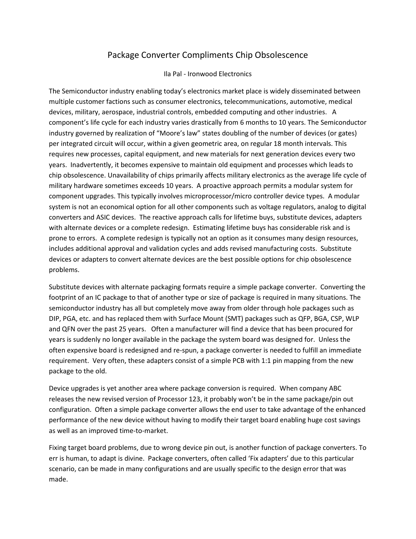## Package Converter Compliments Chip Obsolescence

## Ila Pal - Ironwood Electronics

The Semiconductor industry enabling today's electronics market place is widely disseminated between multiple customer factions such as consumer electronics, telecommunications, automotive, medical devices, military, aerospace, industrial controls, embedded computing and other industries. A component's life cycle for each industry varies drastically from 6 months to 10 years. The Semiconductor industry governed by realization of "Moore's law" states doubling of the number of devices (or gates) per integrated circuit will occur, within a given geometric area, on regular 18 month intervals. This requires new processes, capital equipment, and new materials for next generation devices every two years. Inadvertently, it becomes expensive to maintain old equipment and processes which leads to chip obsolescence. Unavailability of chips primarily affects military electronics as the average life cycle of military hardware sometimes exceeds 10 years. A proactive approach permits a modular system for component upgrades. This typically involves microprocessor/micro controller device types. A modular system is not an economical option for all other components such as voltage regulators, analog to digital converters and ASIC devices. The reactive approach calls for lifetime buys, substitute devices, adapters with alternate devices or a complete redesign. Estimating lifetime buys has considerable risk and is prone to errors. A complete redesign is typically not an option as it consumes many design resources, includes additional approval and validation cycles and adds revised manufacturing costs. Substitute devices or adapters to convert alternate devices are the best possible options for chip obsolescence problems.

Substitute devices with alternate packaging formats require a simple package converter. Converting the footprint of an IC package to that of another type or size of package is required in many situations. The semiconductor industry has all but completely move away from older through hole packages such as DIP, PGA, etc. and has replaced them with Surface Mount (SMT) packages such as QFP, BGA, CSP, WLP and QFN over the past 25 years. Often a manufacturer will find a device that has been procured for years is suddenly no longer available in the package the system board was designed for. Unless the often expensive board is redesigned and re-spun, a package converter is needed to fulfill an immediate requirement. Very often, these adapters consist of a simple PCB with 1:1 pin mapping from the new package to the old.

Device upgrades is yet another area where package conversion is required. When company ABC releases the new revised version of Processor 123, it probably won't be in the same package/pin out configuration. Often a simple package converter allows the end user to take advantage of the enhanced performance of the new device without having to modify their target board enabling huge cost savings as well as an improved time-to-market.

Fixing target board problems, due to wrong device pin out, is another function of package converters. To err is human, to adapt is divine. Package converters, often called 'Fix adapters' due to this particular scenario, can be made in many configurations and are usually specific to the design error that was made.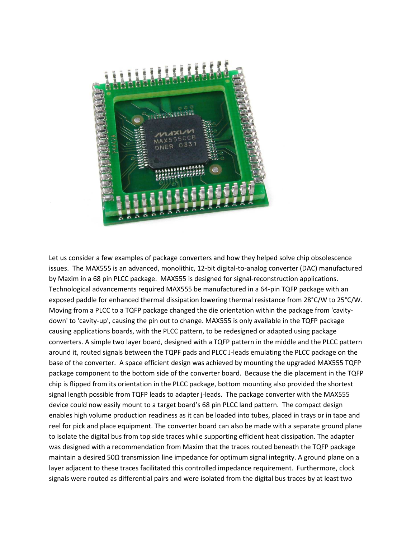

Let us consider a few examples of package converters and how they helped solve chip obsolescence issues. The MAX555 is an advanced, monolithic, 12-bit digital-to-analog converter (DAC) manufactured by Maxim in a 68 pin PLCC package. MAX555 is designed for signal-reconstruction applications. Technological advancements required MAX555 be manufactured in a 64-pin TQFP package with an exposed paddle for enhanced thermal dissipation lowering thermal resistance from 28°C/W to 25°C/W. Moving from a PLCC to a TQFP package changed the die orientation within the package from 'cavitydown' to 'cavity-up', causing the pin out to change. MAX555 is only available in the TQFP package causing applications boards, with the PLCC pattern, to be redesigned or adapted using package converters. A simple two layer board, designed with a TQFP pattern in the middle and the PLCC pattern around it, routed signals between the TQPF pads and PLCC J-leads emulating the PLCC package on the base of the converter. A space efficient design was achieved by mounting the upgraded MAX555 TQFP package component to the bottom side of the converter board. Because the die placement in the TQFP chip is flipped from its orientation in the PLCC package, bottom mounting also provided the shortest signal length possible from TQFP leads to adapter j-leads. The package converter with the MAX555 device could now easily mount to a target board's 68 pin PLCC land pattern. The compact design enables high volume production readiness as it can be loaded into tubes, placed in trays or in tape and reel for pick and place equipment. The converter board can also be made with a separate ground plane to isolate the digital bus from top side traces while supporting efficient heat dissipation. The adapter was designed with a recommendation from Maxim that the traces routed beneath the TQFP package maintain a desired 50Ω transmission line impedance for optimum signal integrity. A ground plane on a layer adjacent to these traces facilitated this controlled impedance requirement. Furthermore, clock signals were routed as differential pairs and were isolated from the digital bus traces by at least two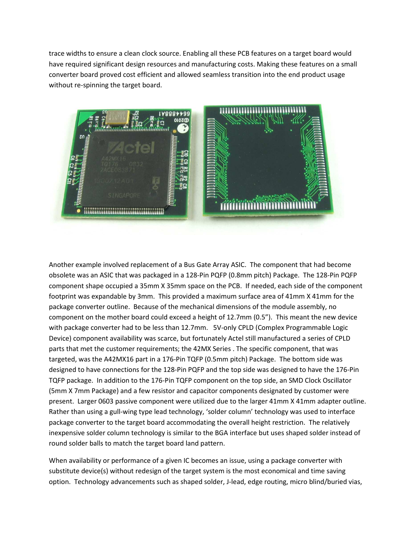trace widths to ensure a clean clock source. Enabling all these PCB features on a target board would have required significant design resources and manufacturing costs. Making these features on a small converter board proved cost efficient and allowed seamless transition into the end product usage without re-spinning the target board.



Another example involved replacement of a Bus Gate Array ASIC. The component that had become obsolete was an ASIC that was packaged in a 128-Pin PQFP (0.8mm pitch) Package. The 128-Pin PQFP component shape occupied a 35mm X 35mm space on the PCB. If needed, each side of the component footprint was expandable by 3mm. This provided a maximum surface area of 41mm X 41mm for the package converter outline. Because of the mechanical dimensions of the module assembly, no component on the mother board could exceed a height of 12.7mm (0.5"). This meant the new device with package converter had to be less than 12.7mm. 5V-only CPLD (Complex Programmable Logic Device) component availability was scarce, but fortunately Actel still manufactured a series of CPLD parts that met the customer requirements; the 42MX Series . The specific component, that was targeted, was the A42MX16 part in a 176-Pin TQFP (0.5mm pitch) Package. The bottom side was designed to have connections for the 128-Pin PQFP and the top side was designed to have the 176-Pin TQFP package. In addition to the 176-Pin TQFP component on the top side, an SMD Clock Oscillator (5mm X 7mm Package) and a few resistor and capacitor components designated by customer were present. Larger 0603 passive component were utilized due to the larger 41mm X 41mm adapter outline. Rather than using a gull-wing type lead technology, 'solder column' technology was used to interface package converter to the target board accommodating the overall height restriction. The relatively inexpensive solder column technology is similar to the BGA interface but uses shaped solder instead of round solder balls to match the target board land pattern.

When availability or performance of a given IC becomes an issue, using a package converter with substitute device(s) without redesign of the target system is the most economical and time saving option. Technology advancements such as shaped solder, J-lead, edge routing, micro blind/buried vias,